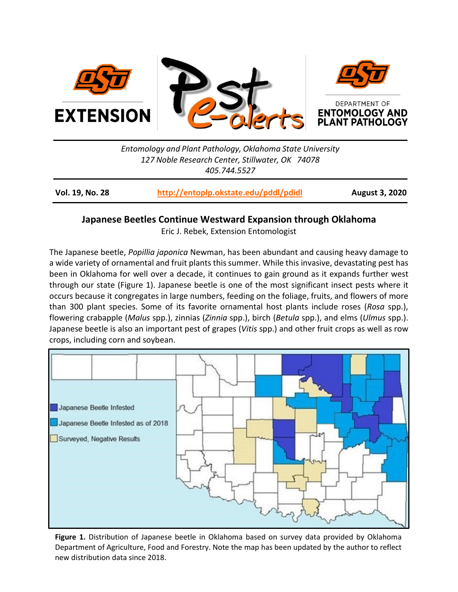

*Entomology and Plant Pathology, Oklahoma State University 127 Noble Research Center, Stillwater, OK 74078 405.744.5527*

**Vol. 19, No. 28 <http://entoplp.okstate.edu/pddl/pdidl> August 3, 2020**

## **Japanese Beetles Continue Westward Expansion through Oklahoma**

Eric J. Rebek, Extension Entomologist

The Japanese beetle, *Popillia japonica* Newman, has been abundant and causing heavy damage to a wide variety of ornamental and fruit plants this summer. While this invasive, devastating pest has been in Oklahoma for well over a decade, it continues to gain ground as it expands further west through our state (Figure 1). Japanese beetle is one of the most significant insect pests where it occurs because it congregates in large numbers, feeding on the foliage, fruits, and flowers of more than 300 plant species. Some of its favorite ornamental host plants include roses (*Rosa* spp.), flowering crabapple (*Malus* spp.), zinnias (*Zinnia* spp.), birch (*Betula* spp.), and elms (*Ulmus* spp.). Japanese beetle is also an important pest of grapes (*Vitis* spp.) and other fruit crops as well as row crops, including corn and soybean.



**Figure 1.** Distribution of Japanese beetle in Oklahoma based on survey data provided by Oklahoma Department of Agriculture, Food and Forestry. Note the map has been updated by the author to reflect new distribution data since 2018.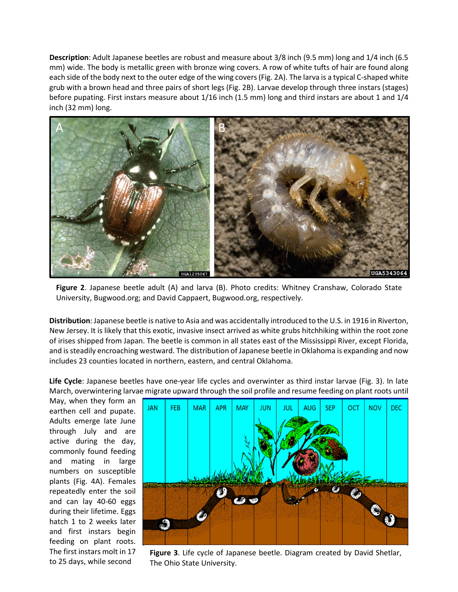**Description**: Adult Japanese beetles are robust and measure about 3/8 inch (9.5 mm) long and 1/4 inch (6.5 mm) wide. The body is metallic green with bronze wing covers. A row of white tufts of hair are found along each side of the body next to the outer edge of the wing covers (Fig. 2A). The larva is a typical C-shaped white grub with a brown head and three pairs of short legs (Fig. 2B). Larvae develop through three instars (stages) before pupating. First instars measure about 1/16 inch (1.5 mm) long and third instars are about 1 and 1/4 inch (32 mm) long.



**Figure 2**. Japanese beetle adult (A) and larva (B). Photo credits: Whitney Cranshaw, Colorado State University, Bugwood.org; and David Cappaert, Bugwood.org, respectively.

**Distribution**: Japanese beetle is native to Asia and was accidentally introduced to the U.S. in 1916 in Riverton, New Jersey. It is likely that this exotic, invasive insect arrived as white grubs hitchhiking within the root zone of irises shipped from Japan. The beetle is common in all states east of the Mississippi River, except Florida, and is steadily encroaching westward. The distribution of Japanese beetle in Oklahoma is expanding and now includes 23 counties located in northern, eastern, and central Oklahoma.

**Life Cycle**: Japanese beetles have one‐year life cycles and overwinter as third instar larvae (Fig. 3). In late March, overwintering larvae migrate upward through the soil profile and resume feeding on plant roots until

May, when they form an earthen cell and pupate. Adults emerge late June through July and are active during the day, commonly found feeding and mating in large numbers on susceptible plants (Fig. 4A). Females repeatedly enter the soil and can lay 40‐60 eggs during their lifetime. Eggs hatch 1 to 2 weeks later and first instars begin feeding on plant roots. The first instars molt in 17 to 25 days, while second



**Figure 3**. Life cycle of Japanese beetle. Diagram created by David Shetlar, The Ohio State University.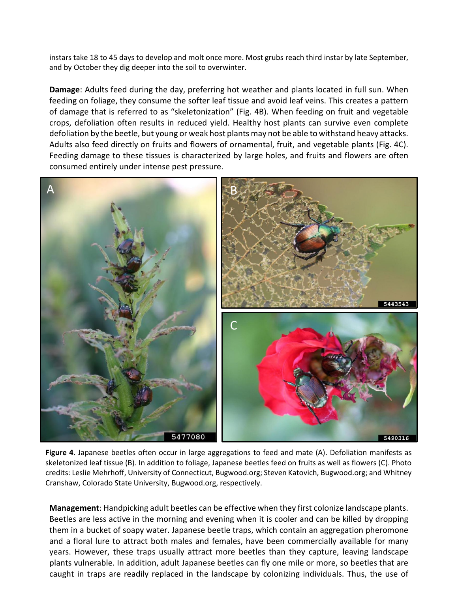instars take 18 to 45 days to develop and molt once more. Most grubs reach third instar by late September, and by October they dig deeper into the soil to overwinter.

**Damage**: Adults feed during the day, preferring hot weather and plants located in full sun. When feeding on foliage, they consume the softer leaf tissue and avoid leaf veins. This creates a pattern of damage that is referred to as "skeletonization" (Fig. 4B). When feeding on fruit and vegetable crops, defoliation often results in reduced yield. Healthy host plants can survive even complete defoliation by the beetle, but young or weak host plants may not be able to withstand heavy attacks. Adults also feed directly on fruits and flowers of ornamental, fruit, and vegetable plants (Fig. 4C). Feeding damage to these tissues is characterized by large holes, and fruits and flowers are often consumed entirely under intense pest pressure.



**Figure 4**. Japanese beetles often occur in large aggregations to feed and mate (A). Defoliation manifests as skeletonized leaf tissue (B). In addition to foliage, Japanese beetles feed on fruits as well as flowers (C). Photo credits: Leslie Mehrhoff, University of Connecticut, Bugwood.org; Steven Katovich, Bugwood.org; and Whitney Cranshaw, Colorado State University, Bugwood.org, respectively.

**Management**: Handpicking adult beetles can be effective when they first colonize landscape plants. Beetles are less active in the morning and evening when it is cooler and can be killed by dropping them in a bucket of soapy water. Japanese beetle traps, which contain an aggregation pheromone and a floral lure to attract both males and females, have been commercially available for many years. However, these traps usually attract more beetles than they capture, leaving landscape plants vulnerable. In addition, adult Japanese beetles can fly one mile or more, so beetles that are caught in traps are readily replaced in the landscape by colonizing individuals. Thus, the use of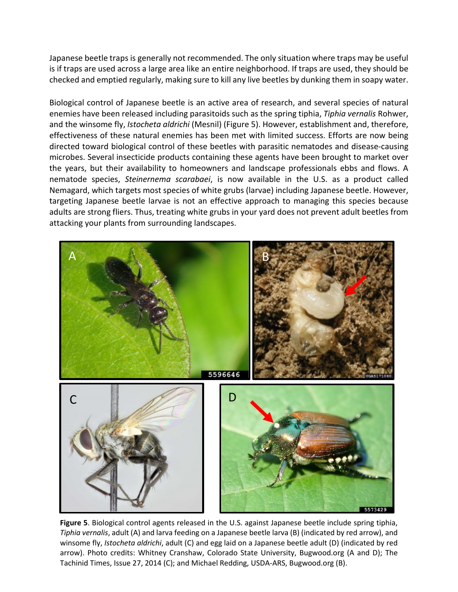Japanese beetle traps is generally not recommended. The only situation where traps may be useful is if traps are used across a large area like an entire neighborhood. If traps are used, they should be checked and emptied regularly, making sure to kill any live beetles by dunking them in soapy water.

Biological control of Japanese beetle is an active area of research, and several species of natural enemies have been released including parasitoids such as the spring tiphia, *Tiphia vernalis* Rohwer, and the winsome fly, *Istocheta aldrichi* (Mesnil) (Figure 5). However, establishment and, therefore, effectiveness of these natural enemies has been met with limited success. Efforts are now being directed toward biological control of these beetles with parasitic nematodes and disease‐causing microbes. Several insecticide products containing these agents have been brought to market over the years, but their availability to homeowners and landscape professionals ebbs and flows. A nematode species, *Steinernema scarabaei*, is now available in the U.S. as a product called Nemagard, which targets most species of white grubs (larvae) including Japanese beetle. However, targeting Japanese beetle larvae is not an effective approach to managing this species because adults are strong fliers. Thus, treating white grubs in your yard does not prevent adult beetles from attacking your plants from surrounding landscapes.



**Figure 5**. Biological control agents released in the U.S. against Japanese beetle include spring tiphia, *Tiphia vernalis*, adult (A) and larva feeding on a Japanese beetle larva (B) (indicated by red arrow), and winsome fly, *Istocheta aldrichi*, adult (C) and egg laid on a Japanese beetle adult (D) (indicated by red arrow). Photo credits: Whitney Cranshaw, Colorado State University, Bugwood.org (A and D); The Tachinid Times, Issue 27, 2014 (C); and Michael Redding, USDA-ARS, Bugwood.org (B).